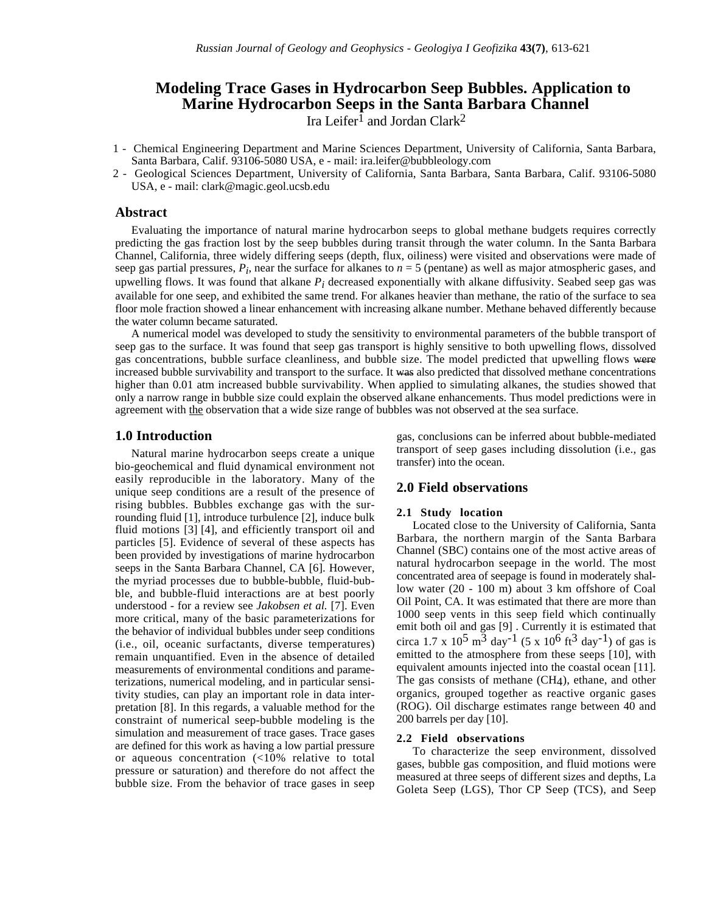# **Modeling Trace Gases in Hydrocarbon Seep Bubbles. Application to Marine Hydrocarbon Seeps in the Santa Barbara Channel** Ira Leifer<sup>1</sup> and Jordan Clark<sup>2</sup>

- 1 Chemical Engineering Department and Marine Sciences Department, University of California, Santa Barbara, Santa Barbara, Calif. 93106-5080 USA, e - mail: ira.leifer@bubbleology.com
- 2 Geological Sciences Department, University of California, Santa Barbara, Santa Barbara, Calif. 93106-5080 USA, e - mail: clark@magic.geol.ucsb.edu

### **Abstract**

Evaluating the importance of natural marine hydrocarbon seeps to global methane budgets requires correctly predicting the gas fraction lost by the seep bubbles during transit through the water column. In the Santa Barbara Channel, California, three widely differing seeps (depth, flux, oiliness) were visited and observations were made of seep gas partial pressures,  $P_i$ , near the surface for alkanes to  $n = 5$  (pentane) as well as major atmospheric gases, and upwelling flows. It was found that alkane *Pi* decreased exponentially with alkane diffusivity. Seabed seep gas was available for one seep, and exhibited the same trend. For alkanes heavier than methane, the ratio of the surface to sea floor mole fraction showed a linear enhancement with increasing alkane number. Methane behaved differently because the water column became saturated.

A numerical model was developed to study the sensitivity to environmental parameters of the bubble transport of seep gas to the surface. It was found that seep gas transport is highly sensitive to both upwelling flows, dissolved gas concentrations, bubble surface cleanliness, and bubble size. The model predicted that upwelling flows were increased bubble survivability and transport to the surface. It was also predicted that dissolved methane concentrations higher than 0.01 atm increased bubble survivability. When applied to simulating alkanes, the studies showed that only a narrow range in bubble size could explain the observed alkane enhancements. Thus model predictions were in agreement with the observation that a wide size range of bubbles was not observed at the sea surface.

## **1.0 Introduction**

Natural marine hydrocarbon seeps create a unique bio-geochemical and fluid dynamical environment not easily reproducible in the laboratory. Many of the unique seep conditions are a result of the presence of rising bubbles. Bubbles exchange gas with the surrounding fluid [1], introduce turbulence [2], induce bulk fluid motions [3] [4], and efficiently transport oil and particles [5]. Evidence of several of these aspects has been provided by investigations of marine hydrocarbon seeps in the Santa Barbara Channel, CA [6]. However, the myriad processes due to bubble-bubble, fluid-bubble, and bubble-fluid interactions are at best poorly understood - for a review see *Jakobsen et al.* [7]. Even more critical, many of the basic parameterizations for the behavior of individual bubbles under seep conditions (i.e., oil, oceanic surfactants, diverse temperatures) remain unquantified. Even in the absence of detailed measurements of environmental conditions and parameterizations, numerical modeling, and in particular sensitivity studies, can play an important role in data interpretation [8]. In this regards, a valuable method for the constraint of numerical seep-bubble modeling is the simulation and measurement of trace gases. Trace gases are defined for this work as having a low partial pressure or aqueous concentration (<10% relative to total pressure or saturation) and therefore do not affect the bubble size. From the behavior of trace gases in seep gas, conclusions can be inferred about bubble-mediated transport of seep gases including dissolution (i.e., gas transfer) into the ocean.

## **2.0 Field observations**

### **2.1 Study location**

Located close to the University of California, Santa Barbara, the northern margin of the Santa Barbara Channel (SBC) contains one of the most active areas of natural hydrocarbon seepage in the world. The most concentrated area of seepage is found in moderately shallow water (20 - 100 m) about 3 km offshore of Coal Oil Point, CA. It was estimated that there are more than 1000 seep vents in this seep field which continually emit both oil and gas [9] . Currently it is estimated that circa 1.7 x  $10^5$  m<sup>3</sup> day<sup>-1</sup> (5 x  $10^6$  ft<sup>3</sup> day<sup>-1</sup>) of gas is emitted to the atmosphere from these seeps [10], with equivalent amounts injected into the coastal ocean [11]. The gas consists of methane  $(CH<sub>4</sub>)$ , ethane, and other organics, grouped together as reactive organic gases (ROG). Oil discharge estimates range between 40 and 200 barrels per day [10].

## **2.2 Field observations**

To characterize the seep environment, dissolved gases, bubble gas composition, and fluid motions were measured at three seeps of different sizes and depths, La Goleta Seep (LGS), Thor CP Seep (TCS), and Seep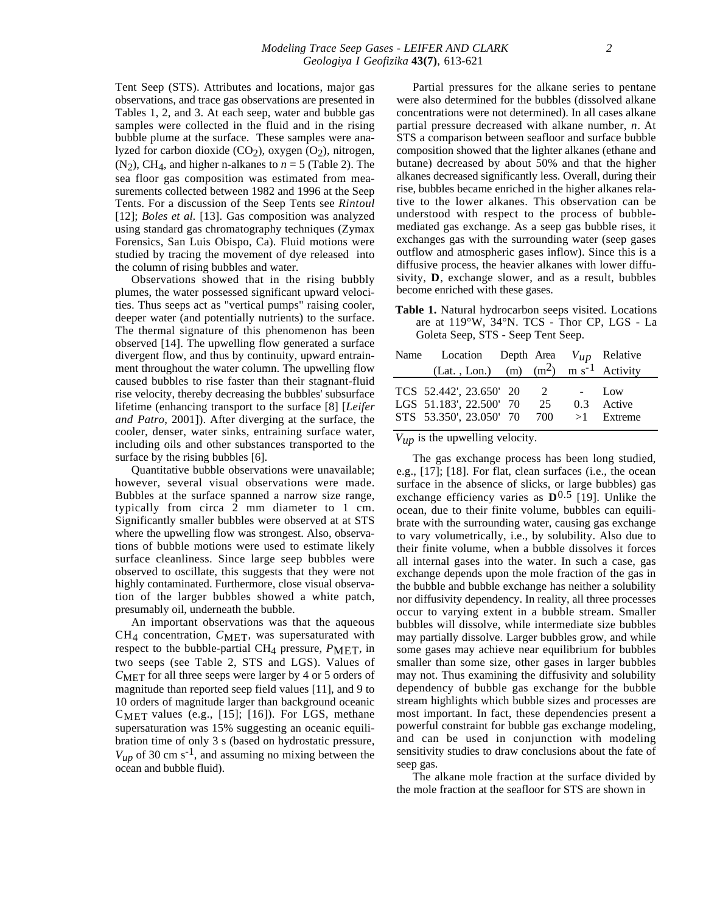Tent Seep (STS). Attributes and locations, major gas observations, and trace gas observations are presented in Tables 1, 2, and 3. At each seep, water and bubble gas samples were collected in the fluid and in the rising bubble plume at the surface. These samples were analyzed for carbon dioxide  $(CO_2)$ , oxygen  $(O_2)$ , nitrogen,  $(N_2)$ , CH<sub>4</sub>, and higher n-alkanes to  $n = 5$  (Table 2). The sea floor gas composition was estimated from measurements collected between 1982 and 1996 at the Seep Tents. For a discussion of the Seep Tents see *Rintoul* [12]; *Boles et al.* [13]. Gas composition was analyzed using standard gas chromatography techniques (Zymax Forensics, San Luis Obispo, Ca). Fluid motions were studied by tracing the movement of dye released into the column of rising bubbles and water.

Observations showed that in the rising bubbly plumes, the water possessed significant upward velocities. Thus seeps act as "vertical pumps" raising cooler, deeper water (and potentially nutrients) to the surface. The thermal signature of this phenomenon has been observed [14]. The upwelling flow generated a surface divergent flow, and thus by continuity, upward entrainment throughout the water column. The upwelling flow caused bubbles to rise faster than their stagnant-fluid rise velocity, thereby decreasing the bubbles' subsurface lifetime (enhancing transport to the surface [8] [*Leifer and Patro*, 2001]). After diverging at the surface, the cooler, denser, water sinks, entraining surface water, including oils and other substances transported to the surface by the rising bubbles [6].

Quantitative bubble observations were unavailable; however, several visual observations were made. Bubbles at the surface spanned a narrow size range, typically from circa 2 mm diameter to 1 cm. Significantly smaller bubbles were observed at at STS where the upwelling flow was strongest. Also, observations of bubble motions were used to estimate likely surface cleanliness. Since large seep bubbles were observed to oscillate, this suggests that they were not highly contaminated. Furthermore, close visual observation of the larger bubbles showed a white patch, presumably oil, underneath the bubble.

An important observations was that the aqueous  $CH<sub>4</sub>$  concentration,  $C<sub>MET</sub>$ , was supersaturated with respect to the bubble-partial CH<sub>4</sub> pressure, *P*MET, in two seeps (see Table 2, STS and LGS). Values of *C*MET for all three seeps were larger by 4 or 5 orders of magnitude than reported seep field values [11], and 9 to 10 orders of magnitude larger than background oceanic  $C_{MET}$  values (e.g., [15]; [16]). For LGS, methane supersaturation was 15% suggesting an oceanic equilibration time of only 3 s (based on hydrostatic pressure,  $V_{up}$  of 30 cm s<sup>-1</sup>, and assuming no mixing between the ocean and bubble fluid).

Partial pressures for the alkane series to pentane were also determined for the bubbles (dissolved alkane concentrations were not determined). In all cases alkane partial pressure decreased with alkane number, *n*. At STS a comparison between seafloor and surface bubble composition showed that the lighter alkanes (ethane and butane) decreased by about 50% and that the higher alkanes decreased significantly less. Overall, during their rise, bubbles became enriched in the higher alkanes relative to the lower alkanes. This observation can be understood with respect to the process of bubblemediated gas exchange. As a seep gas bubble rises, it exchanges gas with the surrounding water (seep gases outflow and atmospheric gases inflow). Since this is a diffusive process, the heavier alkanes with lower diffusivity, **D**, exchange slower, and as a result, bubbles become enriched with these gases.

**Table 1.** Natural hydrocarbon seeps visited. Locations are at 119°W, 34°N. TCS - Thor CP, LGS - La Goleta Seep, STS - Seep Tent Seep.

| Name Location Depth Area $V_{up}$ Relative                                        |         |     |                               |
|-----------------------------------------------------------------------------------|---------|-----|-------------------------------|
| (Lat., Lon.) (m) $(m^2)$ m s <sup>-1</sup> Activity                               |         |     |                               |
| TCS 52.442', 23.650' 20<br>LGS 51.183', 22.500' 70<br>STS 53.350', 23.050' 70 700 | 2<br>25 | 0.3 | Low<br>Active<br>$>1$ Extreme |

*Vup* is the upwelling velocity.

The gas exchange process has been long studied, e.g., [17]; [18]. For flat, clean surfaces (i.e., the ocean surface in the absence of slicks, or large bubbles) gas exchange efficiency varies as  $\mathbf{D}^{0.5}$  [19]. Unlike the ocean, due to their finite volume, bubbles can equilibrate with the surrounding water, causing gas exchange to vary volumetrically, i.e., by solubility. Also due to their finite volume, when a bubble dissolves it forces all internal gases into the water. In such a case, gas exchange depends upon the mole fraction of the gas in the bubble and bubble exchange has neither a solubility nor diffusivity dependency. In reality, all three processes occur to varying extent in a bubble stream. Smaller bubbles will dissolve, while intermediate size bubbles may partially dissolve. Larger bubbles grow, and while some gases may achieve near equilibrium for bubbles smaller than some size, other gases in larger bubbles may not. Thus examining the diffusivity and solubility dependency of bubble gas exchange for the bubble stream highlights which bubble sizes and processes are most important. In fact, these dependencies present a powerful constraint for bubble gas exchange modeling, and can be used in conjunction with modeling sensitivity studies to draw conclusions about the fate of seep gas.

The alkane mole fraction at the surface divided by the mole fraction at the seafloor for STS are shown in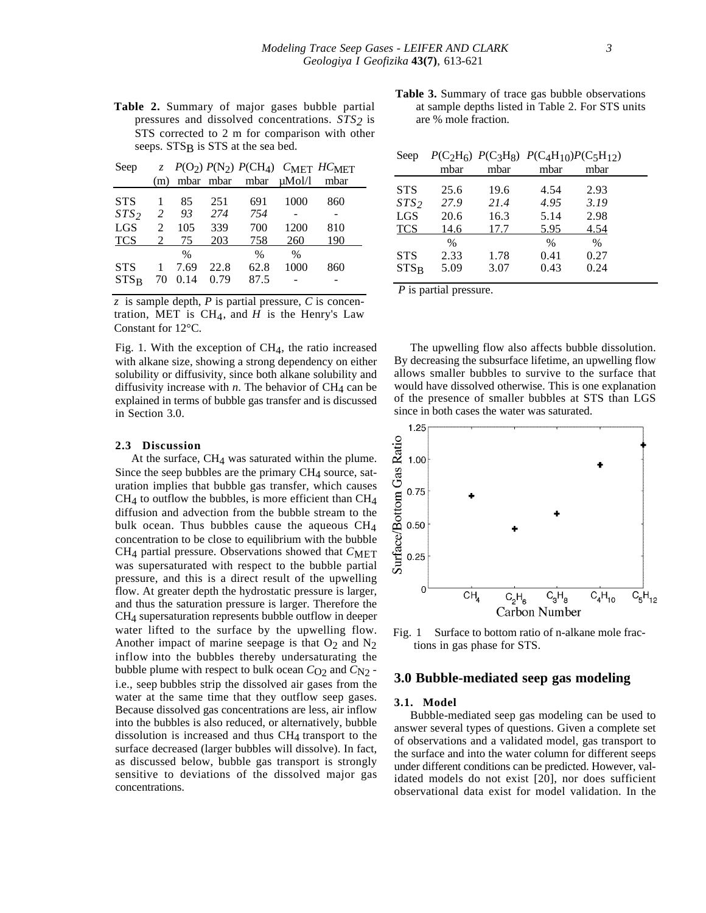**Table 2.** Summary of major gases bubble partial pressures and dissolved concentrations. *STS2* is STS corrected to 2 m for comparison with other seeps. STS<sub>B</sub> is STS at the sea bed.

| Seep             |                |      |      | z $P(O_2) P(N_2) P(CH_4)$ CMET HCMET |               |      |
|------------------|----------------|------|------|--------------------------------------|---------------|------|
|                  | (m)            |      |      | mbar mbar mbar uMol/l                |               | mbar |
| <b>STS</b>       |                | 85   | 251  | 691                                  | 1000          | 860  |
| STS <sub>2</sub> | 2              | 93   | 274  | 754                                  |               |      |
| <b>LGS</b>       | $\mathfrak{D}$ | 105  | 339  | 700                                  | 1200          | 810  |
| <b>TCS</b>       | 2              | 75   | 203  | 758                                  | 260           | 190  |
|                  |                | $\%$ |      | $\%$                                 | $\frac{0}{0}$ |      |
| <b>STS</b>       |                | 7.69 | 22.8 | 62.8                                 | 1000          | 860  |
| $STS_R$          | 70             | 0.14 | 0.79 | 87.5                                 |               |      |

*z* is sample depth, *P* is partial pressure, *C* is concentration, MET is  $CH<sub>4</sub>$ , and *H* is the Henry's Law Constant for 12°C.

Fig. 1. With the exception of  $CH<sub>4</sub>$ , the ratio increased with alkane size, showing a strong dependency on either solubility or diffusivity, since both alkane solubility and diffusivity increase with  $n$ . The behavior of CH<sub>4</sub> can be explained in terms of bubble gas transfer and is discussed in Section 3.0.

#### **2.3 Discussion**

At the surface,  $CH<sub>4</sub>$  was saturated within the plume. Since the seep bubbles are the primary  $CH<sub>4</sub>$  source, saturation implies that bubble gas transfer, which causes  $CH<sub>4</sub>$  to outflow the bubbles, is more efficient than  $CH<sub>4</sub>$ diffusion and advection from the bubble stream to the bulk ocean. Thus bubbles cause the aqueous CH4 concentration to be close to equilibrium with the bubble CH<sub>4</sub> partial pressure. Observations showed that  $C_{\text{MET}}$ was supersaturated with respect to the bubble partial pressure, and this is a direct result of the upwelling flow. At greater depth the hydrostatic pressure is larger, and thus the saturation pressure is larger. Therefore the CH4 supersaturation represents bubble outflow in deeper water lifted to the surface by the upwelling flow. Another impact of marine seepage is that  $O_2$  and  $N_2$ inflow into the bubbles thereby undersaturating the bubble plume with respect to bulk ocean  $C_{O2}$  and  $C_{N2}$  i.e., seep bubbles strip the dissolved air gases from the water at the same time that they outflow seep gases. Because dissolved gas concentrations are less, air inflow into the bubbles is also reduced, or alternatively, bubble dissolution is increased and thus  $CH<sub>4</sub>$  transport to the surface decreased (larger bubbles will dissolve). In fact, as discussed below, bubble gas transport is strongly sensitive to deviations of the dissolved major gas concentrations.

**Table 3.** Summary of trace gas bubble observations at sample depths listed in Table 2. For STS units are % mole fraction.

|  |  |  | Seep $P(C_2H_6)$ $P(C_3H_8)$ $P(C_4H_{10})P(C_5H_{12})$ |
|--|--|--|---------------------------------------------------------|
|--|--|--|---------------------------------------------------------|

|                       | mbar                 | mbar         | mbar                 | mbar                          |  |
|-----------------------|----------------------|--------------|----------------------|-------------------------------|--|
| <b>STS</b>            | 25.6                 | 19.6         | 4.54                 | 2.93                          |  |
| STS <sub>2</sub>      | 27.9                 | 21.4         | 4.95                 | 3.19                          |  |
| <b>LGS</b>            | 20.6                 | 16.3         | 5.14                 | 2.98                          |  |
| <b>TCS</b>            | 14.6                 | 17.7         | 5.95                 | 4.54                          |  |
| <b>STS</b><br>$STS_R$ | $\%$<br>2.33<br>5.09 | 1.78<br>3.07 | $\%$<br>0.41<br>0.43 | $\frac{0}{0}$<br>0.27<br>0.24 |  |

*P* is partial pressure.

The upwelling flow also affects bubble dissolution. By decreasing the subsurface lifetime, an upwelling flow allows smaller bubbles to survive to the surface that would have dissolved otherwise. This is one explanation of the presence of smaller bubbles at STS than LGS since in both cases the water was saturated.



Fig. 1 Surface to bottom ratio of n-alkane mole fractions in gas phase for STS.

## **3.0 Bubble-mediated seep gas modeling**

#### **3.1. Model**

Bubble-mediated seep gas modeling can be used to answer several types of questions. Given a complete set of observations and a validated model, gas transport to the surface and into the water column for different seeps under different conditions can be predicted. However, validated models do not exist [20], nor does sufficient observational data exist for model validation. In the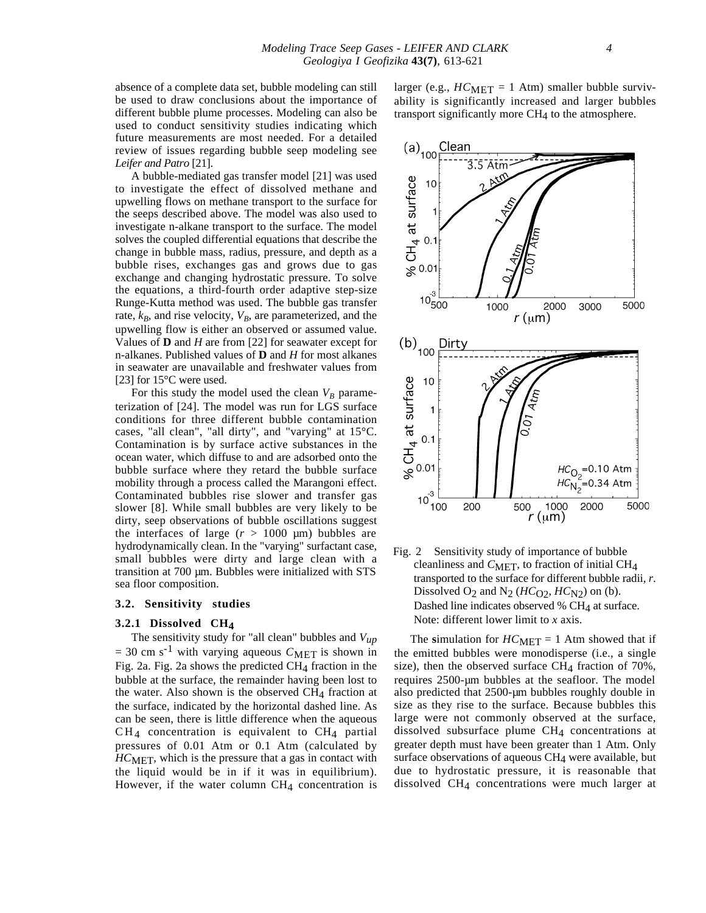absence of a complete data set, bubble modeling can still be used to draw conclusions about the importance of different bubble plume processes. Modeling can also be used to conduct sensitivity studies indicating which future measurements are most needed. For a detailed review of issues regarding bubble seep modeling see *Leifer and Patro* [21].

A bubble-mediated gas transfer model [21] was used to investigate the effect of dissolved methane and upwelling flows on methane transport to the surface for the seeps described above. The model was also used to investigate n-alkane transport to the surface. The model solves the coupled differential equations that describe the change in bubble mass, radius, pressure, and depth as a bubble rises, exchanges gas and grows due to gas exchange and changing hydrostatic pressure. To solve the equations, a third-fourth order adaptive step-size Runge-Kutta method was used. The bubble gas transfer rate,  $k_B$ , and rise velocity,  $V_B$ , are parameterized, and the upwelling flow is either an observed or assumed value. Values of **D** and *H* are from [22] for seawater except for n-alkanes. Published values of **D** and *H* for most alkanes in seawater are unavailable and freshwater values from [23] for 15°C were used.

For this study the model used the clean  $V_B$  parameterization of [24]. The model was run for LGS surface conditions for three different bubble contamination cases, "all clean", "all dirty", and "varying" at 15°C. Contamination is by surface active substances in the ocean water, which diffuse to and are adsorbed onto the bubble surface where they retard the bubble surface mobility through a process called the Marangoni effect. Contaminated bubbles rise slower and transfer gas slower [8]. While small bubbles are very likely to be dirty, seep observations of bubble oscillations suggest the interfaces of large  $(r > 1000 \text{ µm})$  bubbles are hydrodynamically clean. In the "varying" surfactant case, small bubbles were dirty and large clean with a transition at 700 µm. Bubbles were initialized with STS sea floor composition.

#### **3.2. Sensitivity studies**

### **3.2.1 Dissolved CH4**

The sensitivity study for "all clean" bubbles and *Vup*  $= 30$  cm s<sup>-1</sup> with varying aqueous  $C_{\text{MET}}$  is shown in Fig. 2a. Fig. 2a shows the predicted CH4 fraction in the bubble at the surface, the remainder having been lost to the water. Also shown is the observed  $CH<sub>4</sub>$  fraction at the surface, indicated by the horizontal dashed line. As can be seen, there is little difference when the aqueous  $CH<sub>4</sub>$  concentration is equivalent to  $CH<sub>4</sub>$  partial pressures of 0.01 Atm or 0.1 Atm (calculated by *HC*MET, which is the pressure that a gas in contact with the liquid would be in if it was in equilibrium). However, if the water column  $CH<sub>4</sub>$  concentration is larger (e.g.,  $HC_{MET} = 1$  Atm) smaller bubble survivability is significantly increased and larger bubbles transport significantly more CH<sub>4</sub> to the atmosphere.



Fig. 2 Sensitivity study of importance of bubble cleanliness and *C*MET, to fraction of initial CH<sub>4</sub> transported to the surface for different bubble radii, *r*. Dissolved O<sub>2</sub> and N<sub>2</sub> ( $HC_{\text{O2}}$ ,  $HC_{\text{N2}}$ ) on (b). Dashed line indicates observed %  $CH<sub>4</sub>$  at surface. Note: different lower limit to *x* axis.

The simulation for  $HC_{MET} = 1$  Atm showed that if the emitted bubbles were monodisperse (i.e., a single size), then the observed surface  $CH<sub>4</sub>$  fraction of 70%, requires 2500-µm bubbles at the seafloor. The model also predicted that 2500-µm bubbles roughly double in size as they rise to the surface. Because bubbles this large were not commonly observed at the surface, dissolved subsurface plume CH4 concentrations at greater depth must have been greater than 1 Atm. Only surface observations of aqueous CH4 were available, but due to hydrostatic pressure, it is reasonable that dissolved CH4 concentrations were much larger at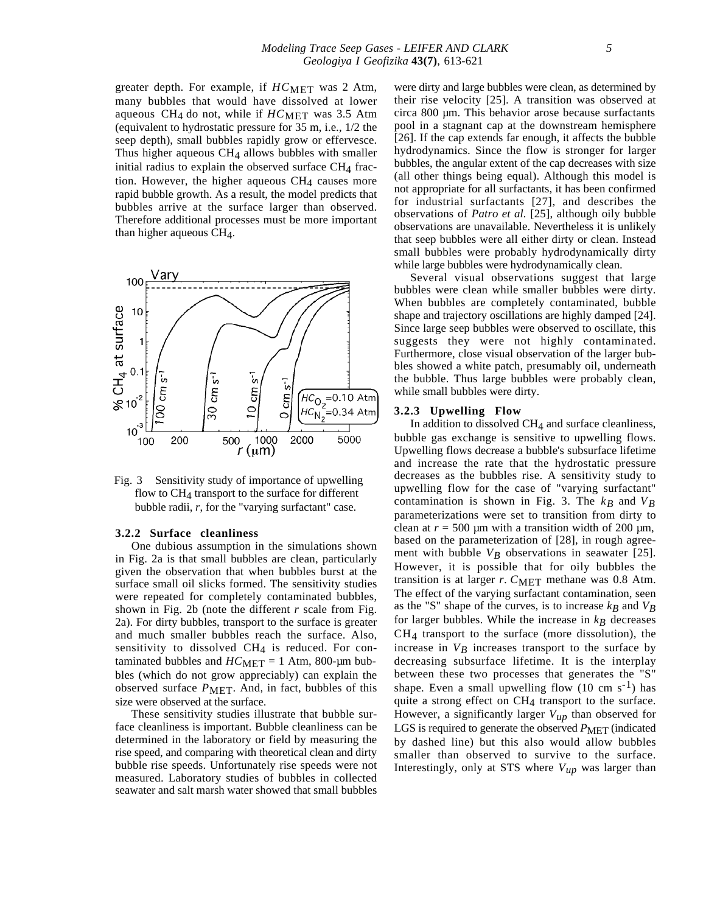greater depth. For example, if *HC*MET was 2 Atm, many bubbles that would have dissolved at lower aqueous CH<sub>4</sub> do not, while if  $HC_{MET}$  was 3.5 Atm (equivalent to hydrostatic pressure for 35 m, i.e., 1/2 the seep depth), small bubbles rapidly grow or effervesce. Thus higher aqueous  $CH<sub>4</sub>$  allows bubbles with smaller initial radius to explain the observed surface  $CH<sub>4</sub>$  fraction. However, the higher aqueous  $CH<sub>4</sub>$  causes more rapid bubble growth. As a result, the model predicts that bubbles arrive at the surface larger than observed. Therefore additional processes must be more important than higher aqueous CH4.



Fig. 3 Sensitivity study of importance of upwelling flow to CH<sub>4</sub> transport to the surface for different bubble radii, *r*, for the "varying surfactant" case.

#### **3.2.2 Surface cleanliness**

One dubious assumption in the simulations shown in Fig. 2a is that small bubbles are clean, particularly given the observation that when bubbles burst at the surface small oil slicks formed. The sensitivity studies were repeated for completely contaminated bubbles, shown in Fig. 2b (note the different *r* scale from Fig. 2a). For dirty bubbles, transport to the surface is greater and much smaller bubbles reach the surface. Also, sensitivity to dissolved  $CH<sub>4</sub>$  is reduced. For contaminated bubbles and  $HC_{MET} = 1$  Atm, 800-µm bubbles (which do not grow appreciably) can explain the observed surface *P*MET. And, in fact, bubbles of this size were observed at the surface.

These sensitivity studies illustrate that bubble surface cleanliness is important. Bubble cleanliness can be determined in the laboratory or field by measuring the rise speed, and comparing with theoretical clean and dirty bubble rise speeds. Unfortunately rise speeds were not measured. Laboratory studies of bubbles in collected seawater and salt marsh water showed that small bubbles

were dirty and large bubbles were clean, as determined by their rise velocity [25]. A transition was observed at circa 800 µm. This behavior arose because surfactants pool in a stagnant cap at the downstream hemisphere [26]. If the cap extends far enough, it affects the bubble hydrodynamics. Since the flow is stronger for larger bubbles, the angular extent of the cap decreases with size (all other things being equal). Although this model is not appropriate for all surfactants, it has been confirmed for industrial surfactants [27], and describes the observations of *Patro et al.* [25], although oily bubble observations are unavailable. Nevertheless it is unlikely that seep bubbles were all either dirty or clean. Instead small bubbles were probably hydrodynamically dirty while large bubbles were hydrodynamically clean.

Several visual observations suggest that large bubbles were clean while smaller bubbles were dirty. When bubbles are completely contaminated, bubble shape and trajectory oscillations are highly damped [24]. Since large seep bubbles were observed to oscillate, this suggests they were not highly contaminated. Furthermore, close visual observation of the larger bubbles showed a white patch, presumably oil, underneath the bubble. Thus large bubbles were probably clean, while small bubbles were dirty.

## **3.2.3 Upwelling Flow**

In addition to dissolved  $CH<sub>4</sub>$  and surface cleanliness, bubble gas exchange is sensitive to upwelling flows. Upwelling flows decrease a bubble's subsurface lifetime and increase the rate that the hydrostatic pressure decreases as the bubbles rise. A sensitivity study to upwelling flow for the case of "varying surfactant" contamination is shown in Fig. 3. The  $k_B$  and  $V_B$ parameterizations were set to transition from dirty to clean at  $r = 500 \mu m$  with a transition width of 200  $\mu$ m, based on the parameterization of [28], in rough agreement with bubble  $V_B$  observations in seawater [25]. However, it is possible that for oily bubbles the transition is at larger  $r$ .  $C_{\text{MET}}$  methane was 0.8 Atm. The effect of the varying surfactant contamination, seen as the "S" shape of the curves, is to increase  $k_B$  and  $V_B$ for larger bubbles. While the increase in  $k_B$  decreases CH4 transport to the surface (more dissolution), the increase in  $V_B$  increases transport to the surface by decreasing subsurface lifetime. It is the interplay between these two processes that generates the "S" shape. Even a small upwelling flow  $(10 \text{ cm s}^{-1})$  has quite a strong effect on CH<sub>4</sub> transport to the surface. However, a significantly larger *Vup* than observed for LGS is required to generate the observed  $P_{\text{MET}}$  (indicated by dashed line) but this also would allow bubbles smaller than observed to survive to the surface. Interestingly, only at STS where  $V_{up}$  was larger than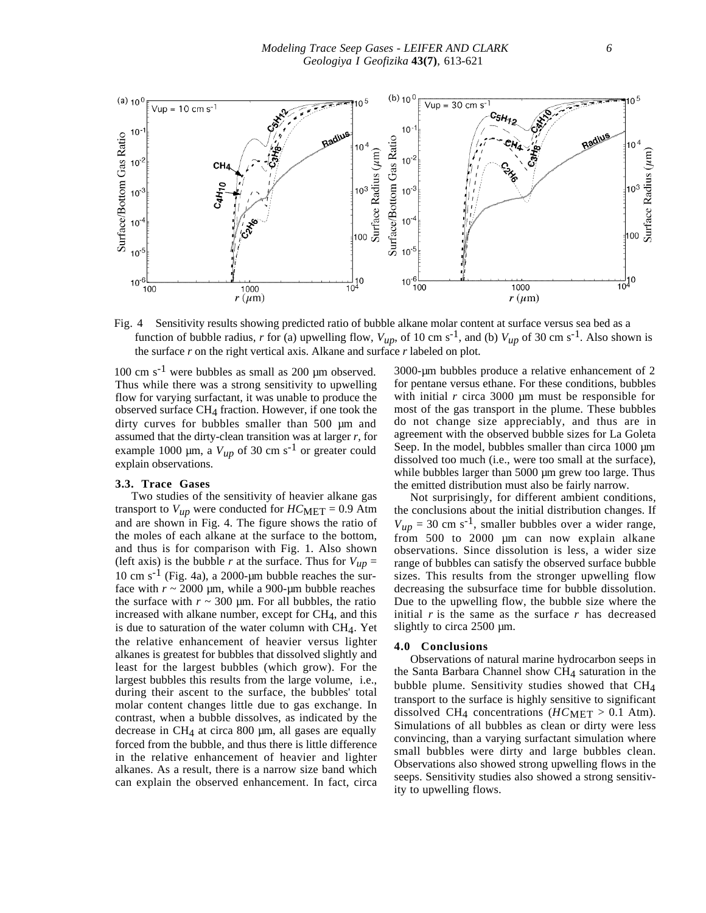

Fig. 4 Sensitivity results showing predicted ratio of bubble alkane molar content at surface versus sea bed as a function of bubble radius, *r* for (a) upwelling flow,  $V_{up}$ , of 10 cm s<sup>-1</sup>, and (b)  $V_{up}$  of 30 cm s<sup>-1</sup>. Also shown is the surface *r* on the right vertical axis. Alkane and surface *r* labeled on plot.

 $100 \text{ cm s}^{-1}$  were bubbles as small as 200 µm observed. Thus while there was a strong sensitivity to upwelling flow for varying surfactant, it was unable to produce the observed surface  $CH<sub>4</sub>$  fraction. However, if one took the dirty curves for bubbles smaller than 500 µm and assumed that the dirty-clean transition was at larger *r*, for example 1000  $\mu$ m, a  $V_{\mu p}$  of 30 cm s<sup>-1</sup> or greater could explain observations.

#### **3.3. Trace Gases**

Two studies of the sensitivity of heavier alkane gas transport to  $V_{up}$  were conducted for  $HC_{MET} = 0.9$  Atm and are shown in Fig. 4. The figure shows the ratio of the moles of each alkane at the surface to the bottom, and thus is for comparison with Fig. 1. Also shown (left axis) is the bubble *r* at the surface. Thus for  $V_{up}$  = 10 cm  $s^{-1}$  (Fig. 4a), a 2000-µm bubble reaches the surface with  $r \sim 2000$  µm, while a 900-µm bubble reaches the surface with  $r \sim 300$  µm. For all bubbles, the ratio increased with alkane number, except for  $CH<sub>4</sub>$ , and this is due to saturation of the water column with  $CH<sub>4</sub>$ . Yet the relative enhancement of heavier versus lighter alkanes is greatest for bubbles that dissolved slightly and least for the largest bubbles (which grow). For the largest bubbles this results from the large volume, i.e., during their ascent to the surface, the bubbles' total molar content changes little due to gas exchange. In contrast, when a bubble dissolves, as indicated by the decrease in  $CH<sub>4</sub>$  at circa 800  $\mu$ m, all gases are equally forced from the bubble, and thus there is little difference in the relative enhancement of heavier and lighter alkanes. As a result, there is a narrow size band which can explain the observed enhancement. In fact, circa

3000-µm bubbles produce a relative enhancement of 2 for pentane versus ethane. For these conditions, bubbles with initial *r* circa 3000 µm must be responsible for most of the gas transport in the plume. These bubbles do not change size appreciably, and thus are in agreement with the observed bubble sizes for La Goleta Seep. In the model, bubbles smaller than circa 1000  $\mu$ m dissolved too much (i.e., were too small at the surface), while bubbles larger than 5000 µm grew too large. Thus the emitted distribution must also be fairly narrow.

Not surprisingly, for different ambient conditions, the conclusions about the initial distribution changes. If  $V_{up}$  = 30 cm s<sup>-1</sup>, smaller bubbles over a wider range, from 500 to 2000 µm can now explain alkane observations. Since dissolution is less, a wider size range of bubbles can satisfy the observed surface bubble sizes. This results from the stronger upwelling flow decreasing the subsurface time for bubble dissolution. Due to the upwelling flow, the bubble size where the initial  $r$  is the same as the surface  $r$  has decreased slightly to circa 2500 µm.

## **4.0 Conclusions**

Observations of natural marine hydrocarbon seeps in the Santa Barbara Channel show CH<sub>4</sub> saturation in the bubble plume. Sensitivity studies showed that CH4 transport to the surface is highly sensitive to significant dissolved CH<sub>4</sub> concentrations ( $HC_{MET} > 0.1$  Atm). Simulations of all bubbles as clean or dirty were less convincing, than a varying surfactant simulation where small bubbles were dirty and large bubbles clean. Observations also showed strong upwelling flows in the seeps. Sensitivity studies also showed a strong sensitivity to upwelling flows.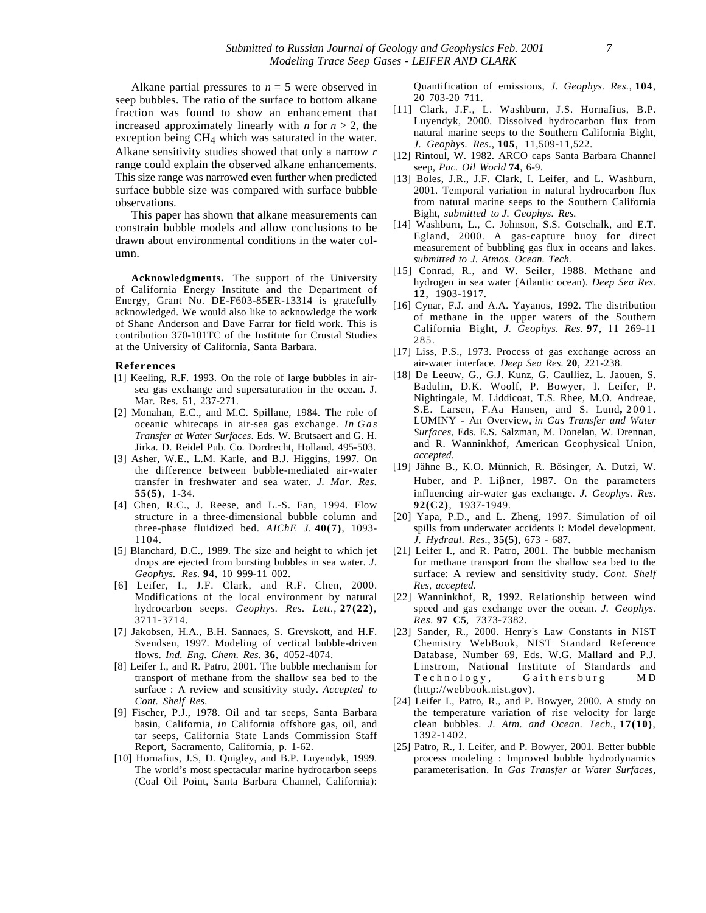Alkane partial pressures to  $n = 5$  were observed in seep bubbles. The ratio of the surface to bottom alkane fraction was found to show an enhancement that increased approximately linearly with *n* for  $n > 2$ , the exception being CH4 which was saturated in the water. Alkane sensitivity studies showed that only a narrow *r* range could explain the observed alkane enhancements. This size range was narrowed even further when predicted surface bubble size was compared with surface bubble observations.

This paper has shown that alkane measurements can constrain bubble models and allow conclusions to be drawn about environmental conditions in the water column.

**Acknowledgments.** The support of the University of California Energy Institute and the Department of Energy, Grant No. DE-F603-85ER-13314 is gratefully acknowledged. We would also like to acknowledge the work of Shane Anderson and Dave Farrar for field work. This is contribution 370-101TC of the Institute for Crustal Studies at the University of California, Santa Barbara.

#### **References**

- [1] Keeling, R.F. 1993. On the role of large bubbles in airsea gas exchange and supersaturation in the ocean. J. Mar. Res. 51, 237-271.
- [2] Monahan, E.C., and M.C. Spillane, 1984. The role of oceanic whitecaps in air-sea gas exchange. *In Gas Transfer at Water Surfaces*. Eds. W. Brutsaert and G. H. Jirka. D. Reidel Pub. Co. Dordrecht, Holland. 495-503.
- [3] Asher, W.E., L.M. Karle, and B.J. Higgins, 1997. On the difference between bubble-mediated air-water transfer in freshwater and sea water. *J. Mar. Res.* **55(5)**, 1-34.
- [4] Chen, R.C., J. Reese, and L.-S. Fan, 1994. Flow structure in a three-dimensional bubble column and three-phase fluidized bed. *AIChE J.* **40(7)**, 1093- 1104.
- [5] Blanchard, D.C., 1989. The size and height to which jet drops are ejected from bursting bubbles in sea water. *J. Geophys. Res.* **94**, 10 999-11 002.
- [6] Leifer, I., J.F. Clark, and R.F. Chen, 2000. Modifications of the local environment by natural hydrocarbon seeps. *Geophys. Res. Lett.*, **27(22)**, 3711-3714.
- [7] Jakobsen, H.A., B.H. Sannaes, S. Grevskott, and H.F. Svendsen, 1997. Modeling of vertical bubble-driven flows. *Ind. Eng. Chem. Res.* **36**, 4052-4074.
- [8] Leifer I., and R. Patro, 2001. The bubble mechanism for transport of methane from the shallow sea bed to the surface : A review and sensitivity study. *Accepted to Cont. Shelf Res.*
- [9] Fischer, P.J., 1978. Oil and tar seeps, Santa Barbara basin, California, *in* California offshore gas, oil, and tar seeps, California State Lands Commission Staff Report, Sacramento, California, p. 1-62.
- [10] Hornafius, J.S, D. Quigley, and B.P. Luyendyk, 1999. The world's most spectacular marine hydrocarbon seeps (Coal Oil Point, Santa Barbara Channel, California):

Quantification of emissions, *J. Geophys. Res.*, **104**, 20 703-20 711.

- [11] Clark, J.F., L. Washburn, J.S. Hornafius, B.P. Luyendyk, 2000. Dissolved hydrocarbon flux from natural marine seeps to the Southern California Bight, *J. Geophys. Res.*, **105**, 11,509-11,522.
- [12] Rintoul, W. 1982. ARCO caps Santa Barbara Channel seep, *Pac. Oil World* **74**, 6-9.
- [13] Boles, J.R., J.F. Clark, I. Leifer, and L. Washburn, 2001. Temporal variation in natural hydrocarbon flux from natural marine seeps to the Southern California Bight, *submitted to J. Geophys. Res.*
- [14] Washburn, L., C. Johnson, S.S. Gotschalk, and E.T. Egland, 2000. A gas-capture buoy for direct measurement of bubbling gas flux in oceans and lakes. *submitted to J. Atmos. Ocean. Tech.*
- [15] Conrad, R., and W. Seiler, 1988. Methane and hydrogen in sea water (Atlantic ocean). *Deep Sea Res.* **12**, 1903-1917.
- [16] Cynar, F.J. and A.A. Yayanos, 1992. The distribution of methane in the upper waters of the Southern California Bight, *J. Geophys. Res.* **97**, 11 269-11 285.
- [17] Liss, P.S., 1973. Process of gas exchange across an air-water interface. *Deep Sea Res.* **20**, 221-238.
- [18] De Leeuw, G., G.J. Kunz, G. Caulliez, L. Jaouen, S. Badulin, D.K. Woolf, P. Bowyer, I. Leifer, P. Nightingale, M. Liddicoat, T.S. Rhee, M.O. Andreae, S.E. Larsen, F.Aa Hansen, and S. Lund**,** 2001. LUMINY - An Overview, *in Gas Transfer and Water Surfaces*, Eds. E.S. Salzman, M. Donelan, W. Drennan, and R. Wanninkhof, American Geophysical Union, *accepted*.
- [19] Jähne B., K.O. Münnich, R. Bösinger, A. Dutzi, W. Huber, and P. Liβner, 1987. On the parameters influencing air-water gas exchange. *J. Geophys. Res.* **92(C2)**, 1937-1949.
- [20] Yapa, P.D., and L. Zheng, 1997. Simulation of oil spills from underwater accidents I: Model development. *J. Hydraul. Res.*, **35(5)**, 673 - 687.
- [21] Leifer I., and R. Patro, 2001. The bubble mechanism for methane transport from the shallow sea bed to the surface: A review and sensitivity study. *Cont. Shelf Res, accepted.*
- [22] Wanninkhof, R, 1992. Relationship between wind speed and gas exchange over the ocean. *J. Geophys. Res.* **97 C5**, 7373-7382.
- [23] Sander, R., 2000. Henry's Law Constants in NIST Chemistry WebBook, NIST Standard Reference Database, Number 69, Eds. W.G. Mallard and P.J. Linstrom, National Institute of Standards and Technology, Gaithersburg MD (http://webbook.nist.gov).
- [24] Leifer I., Patro, R., and P. Bowyer, 2000. A study on the temperature variation of rise velocity for large clean bubbles. *J. Atm. and Ocean. Tech.*, **17(10)**, 1392-1402.
- [25] Patro, R., I. Leifer, and P. Bowyer, 2001. Better bubble process modeling : Improved bubble hydrodynamics parameterisation. In *Gas Transfer at Water Surfaces*,